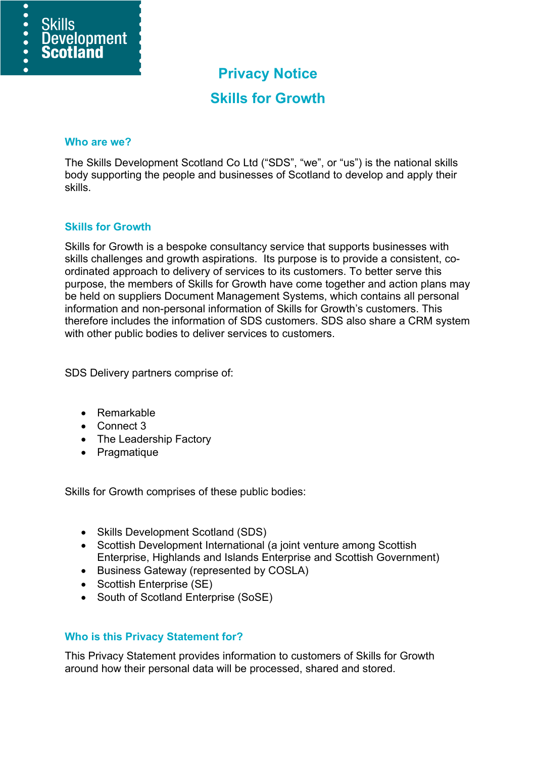

# **Privacy Notice**

## **Skills for Growth**

#### **Who are we?**

The Skills Development Scotland Co Ltd ("SDS", "we", or "us") is the national skills body supporting the people and businesses of Scotland to develop and apply their skills.

## **Skills for Growth**

Skills for Growth is a bespoke consultancy service that supports businesses with skills challenges and growth aspirations. Its purpose is to provide a consistent, coordinated approach to delivery of services to its customers. To better serve this purpose, the members of Skills for Growth have come together and action plans may be held on suppliers Document Management Systems, which contains all personal information and non-personal information of Skills for Growth's customers. This therefore includes the information of SDS customers. SDS also share a CRM system with other public bodies to deliver services to customers.

SDS Delivery partners comprise of:

- Remarkable
- Connect 3
- The Leadership Factory
- Pragmatique

Skills for Growth comprises of these public bodies:

- Skills Development Scotland (SDS)
- Scottish Development International (a joint venture among Scottish Enterprise, Highlands and Islands Enterprise and Scottish Government)
- Business Gateway (represented by COSLA)
- Scottish Enterprise (SE)
- South of Scotland Enterprise (SoSE)

## **Who is this Privacy Statement for?**

This Privacy Statement provides information to customers of Skills for Growth around how their personal data will be processed, shared and stored.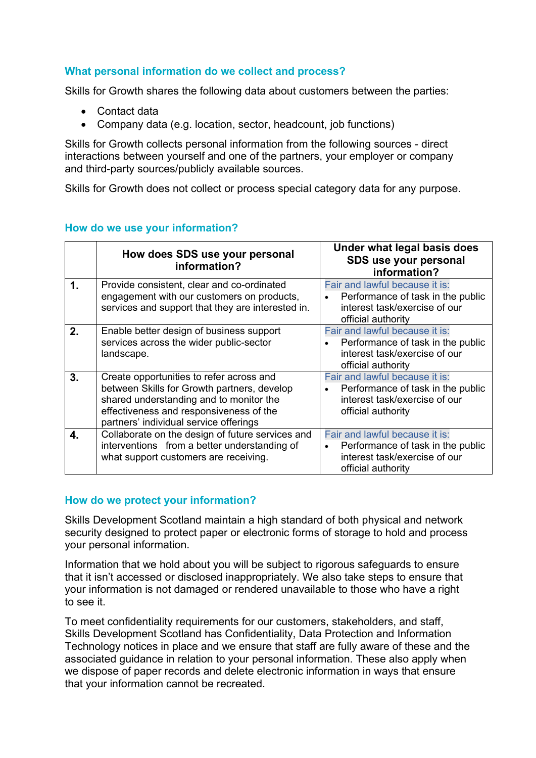## **What personal information do we collect and process?**

Skills for Growth shares the following data about customers between the parties:

- Contact data
- Company data (e.g. location, sector, headcount, job functions)

Skills for Growth collects personal information from the following sources - direct interactions between yourself and one of the partners, your employer or company and third-party sources/publicly available sources.

Skills for Growth does not collect or process special category data for any purpose.

|    | How does SDS use your personal<br>information?                                                                                                                                                                          | Under what legal basis does<br>SDS use your personal<br>information?                                                                    |
|----|-------------------------------------------------------------------------------------------------------------------------------------------------------------------------------------------------------------------------|-----------------------------------------------------------------------------------------------------------------------------------------|
| 1. | Provide consistent, clear and co-ordinated<br>engagement with our customers on products,<br>services and support that they are interested in.                                                                           | Fair and lawful because it is:<br>Performance of task in the public<br>$\bullet$<br>interest task/exercise of our<br>official authority |
| 2. | Enable better design of business support<br>services across the wider public-sector<br>landscape.                                                                                                                       | Fair and lawful because it is:<br>Performance of task in the public<br>interest task/exercise of our<br>official authority              |
| 3. | Create opportunities to refer across and<br>between Skills for Growth partners, develop<br>shared understanding and to monitor the<br>effectiveness and responsiveness of the<br>partners' individual service offerings | Fair and lawful because it is:<br>Performance of task in the public<br>interest task/exercise of our<br>official authority              |
| 4. | Collaborate on the design of future services and<br>interventions from a better understanding of<br>what support customers are receiving.                                                                               | Fair and lawful because it is:<br>Performance of task in the public<br>$\bullet$<br>interest task/exercise of our<br>official authority |

## **How do we use your information?**

## **How do we protect your information?**

Skills Development Scotland maintain a high standard of both physical and network security designed to protect paper or electronic forms of storage to hold and process your personal information.

Information that we hold about you will be subject to rigorous safeguards to ensure that it isn't accessed or disclosed inappropriately. We also take steps to ensure that your information is not damaged or rendered unavailable to those who have a right to see it.

To meet confidentiality requirements for our customers, stakeholders, and staff, Skills Development Scotland has Confidentiality, Data Protection and Information Technology notices in place and we ensure that staff are fully aware of these and the associated guidance in relation to your personal information. These also apply when we dispose of paper records and delete electronic information in ways that ensure that your information cannot be recreated.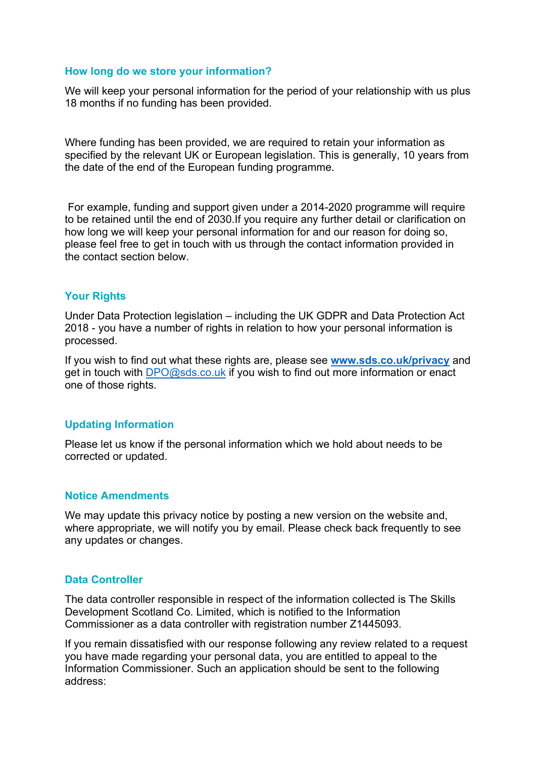#### **How long do we store your information?**

We will keep your personal information for the period of your relationship with us plus 18 months if no funding has been provided.

Where funding has been provided, we are required to retain your information as specified by the relevant UK or European legislation. This is generally, 10 years from the date of the end of the European funding programme.

For example, funding and support given under a 2014-2020 programme will require to be retained until the end of 2030.If you require any further detail or clarification on how long we will keep your personal information for and our reason for doing so, please feel free to get in touch with us through the contact information provided in the contact section below.

## **Your Rights**

Under Data Protection legislation – including the UK GDPR and Data Protection Act 2018 - you have a number of rights in relation to how your personal information is processed.

If you wish to find out what these rights are, please see **[www.sds.co.uk/privacy](http://www.sds.co.uk/privacy)** and get in touch with [DPO@sds.co.uk](mailto:DPO@sds.co.uk) if you wish to find out more information or enact one of those rights.

## **Updating Information**

Please let us know if the personal information which we hold about needs to be corrected or updated.

#### **Notice Amendments**

We may update this privacy notice by posting a new version on the website and, where appropriate, we will notify you by email. Please check back frequently to see any updates or changes.

#### **Data Controller**

The data controller responsible in respect of the information collected is The Skills Development Scotland Co. Limited, which is notified to the Information Commissioner as a data controller with registration number Z1445093.

If you remain dissatisfied with our response following any review related to a request you have made regarding your personal data, you are entitled to appeal to the Information Commissioner. Such an application should be sent to the following address: